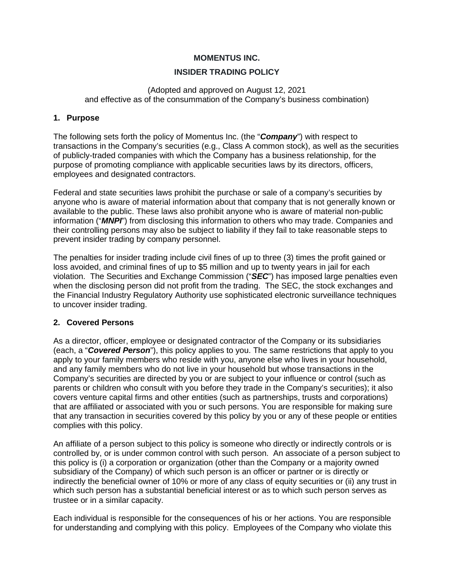## **MOMENTUS INC.**

## **INSIDER TRADING POLICY**

#### (Adopted and approved on August 12, 2021 and effective as of the consummation of the Company's business combination)

#### **1. Purpose**

The following sets forth the policy of Momentus Inc. (the "*Company*") with respect to transactions in the Company's securities (e.g., Class A common stock), as well as the securities of publicly-traded companies with which the Company has a business relationship, for the purpose of promoting compliance with applicable securities laws by its directors, officers, employees and designated contractors.

Federal and state securities laws prohibit the purchase or sale of a company's securities by anyone who is aware of material information about that company that is not generally known or available to the public. These laws also prohibit anyone who is aware of material non-public information ("*MNPI*") from disclosing this information to others who may trade. Companies and their controlling persons may also be subject to liability if they fail to take reasonable steps to prevent insider trading by company personnel.

The penalties for insider trading include civil fines of up to three (3) times the profit gained or loss avoided, and criminal fines of up to \$5 million and up to twenty years in jail for each violation. The Securities and Exchange Commission ("*SEC*") has imposed large penalties even when the disclosing person did not profit from the trading. The SEC, the stock exchanges and the Financial Industry Regulatory Authority use sophisticated electronic surveillance techniques to uncover insider trading.

## **2. Covered Persons**

As a director, officer, employee or designated contractor of the Company or its subsidiaries (each, a "*Covered Person*"), this policy applies to you. The same restrictions that apply to you apply to your family members who reside with you, anyone else who lives in your household, and any family members who do not live in your household but whose transactions in the Company's securities are directed by you or are subject to your influence or control (such as parents or children who consult with you before they trade in the Company's securities); it also covers venture capital firms and other entities (such as partnerships, trusts and corporations) that are affiliated or associated with you or such persons. You are responsible for making sure that any transaction in securities covered by this policy by you or any of these people or entities complies with this policy.

An affiliate of a person subject to this policy is someone who directly or indirectly controls or is controlled by, or is under common control with such person. An associate of a person subject to this policy is (i) a corporation or organization (other than the Company or a majority owned subsidiary of the Company) of which such person is an officer or partner or is directly or indirectly the beneficial owner of 10% or more of any class of equity securities or (ii) any trust in which such person has a substantial beneficial interest or as to which such person serves as trustee or in a similar capacity.

Each individual is responsible for the consequences of his or her actions. You are responsible for understanding and complying with this policy. Employees of the Company who violate this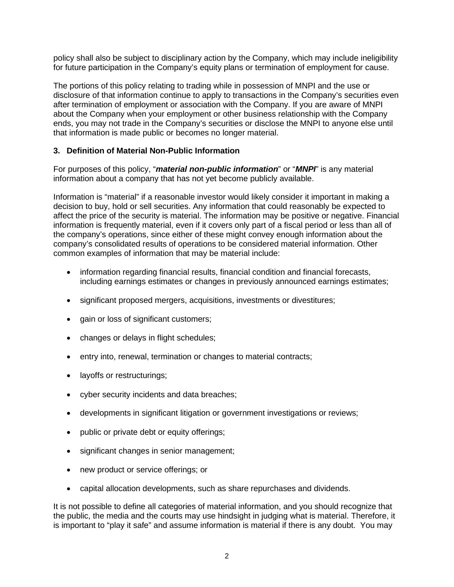policy shall also be subject to disciplinary action by the Company, which may include ineligibility for future participation in the Company's equity plans or termination of employment for cause.

The portions of this policy relating to trading while in possession of MNPI and the use or disclosure of that information continue to apply to transactions in the Company's securities even after termination of employment or association with the Company. If you are aware of MNPI about the Company when your employment or other business relationship with the Company ends, you may not trade in the Company's securities or disclose the MNPI to anyone else until that information is made public or becomes no longer material.

# **3. Definition of Material Non-Public Information**

For purposes of this policy, "*material non-public information*" or "*MNPI*" is any material information about a company that has not yet become publicly available.

Information is "material" if a reasonable investor would likely consider it important in making a decision to buy, hold or sell securities. Any information that could reasonably be expected to affect the price of the security is material. The information may be positive or negative. Financial information is frequently material, even if it covers only part of a fiscal period or less than all of the company's operations, since either of these might convey enough information about the company's consolidated results of operations to be considered material information. Other common examples of information that may be material include:

- information regarding financial results, financial condition and financial forecasts, including earnings estimates or changes in previously announced earnings estimates;
- significant proposed mergers, acquisitions, investments or divestitures;
- gain or loss of significant customers:
- changes or delays in flight schedules;
- entry into, renewal, termination or changes to material contracts;
- layoffs or restructurings;
- cyber security incidents and data breaches;
- developments in significant litigation or government investigations or reviews;
- public or private debt or equity offerings;
- significant changes in senior management;
- new product or service offerings; or
- capital allocation developments, such as share repurchases and dividends.

It is not possible to define all categories of material information, and you should recognize that the public, the media and the courts may use hindsight in judging what is material. Therefore, it is important to "play it safe" and assume information is material if there is any doubt. You may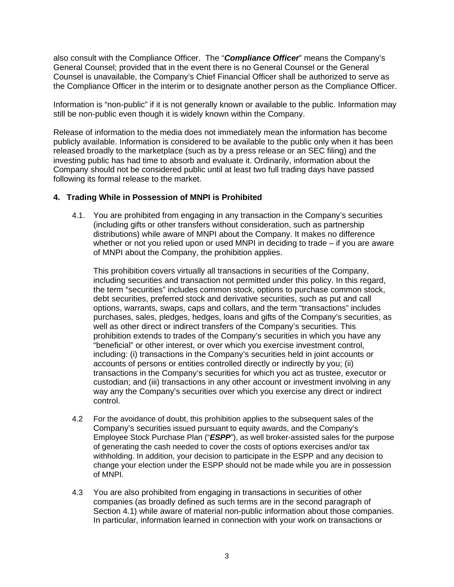also consult with the Compliance Officer. The "*Compliance Officer*" means the Company's General Counsel; provided that in the event there is no General Counsel or the General Counsel is unavailable, the Company's Chief Financial Officer shall be authorized to serve as the Compliance Officer in the interim or to designate another person as the Compliance Officer.

Information is "non-public" if it is not generally known or available to the public. Information may still be non-public even though it is widely known within the Company.

Release of information to the media does not immediately mean the information has become publicly available. Information is considered to be available to the public only when it has been released broadly to the marketplace (such as by a press release or an SEC filing) and the investing public has had time to absorb and evaluate it. Ordinarily, information about the Company should not be considered public until at least two full trading days have passed following its formal release to the market.

## **4. Trading While in Possession of MNPI is Prohibited**

4.1. You are prohibited from engaging in any transaction in the Company's securities (including gifts or other transfers without consideration, such as partnership distributions) while aware of MNPI about the Company. It makes no difference whether or not you relied upon or used MNPI in deciding to trade – if you are aware of MNPI about the Company, the prohibition applies.

This prohibition covers virtually all transactions in securities of the Company, including securities and transaction not permitted under this policy. In this regard, the term "securities" includes common stock, options to purchase common stock, debt securities, preferred stock and derivative securities, such as put and call options, warrants, swaps, caps and collars, and the term "transactions" includes purchases, sales, pledges, hedges, loans and gifts of the Company's securities, as well as other direct or indirect transfers of the Company's securities. This prohibition extends to trades of the Company's securities in which you have any "beneficial" or other interest, or over which you exercise investment control, including: (i) transactions in the Company's securities held in joint accounts or accounts of persons or entities controlled directly or indirectly by you; (ii) transactions in the Company's securities for which you act as trustee, executor or custodian; and (iii) transactions in any other account or investment involving in any way any the Company's securities over which you exercise any direct or indirect control.

- 4.2 For the avoidance of doubt, this prohibition applies to the subsequent sales of the Company's securities issued pursuant to equity awards, and the Company's Employee Stock Purchase Plan ("*ESPP*"), as well broker-assisted sales for the purpose of generating the cash needed to cover the costs of options exercises and/or tax withholding. In addition, your decision to participate in the ESPP and any decision to change your election under the ESPP should not be made while you are in possession of MNPI.
- 4.3 You are also prohibited from engaging in transactions in securities of other companies (as broadly defined as such terms are in the second paragraph of Section 4.1) while aware of material non-public information about those companies. In particular, information learned in connection with your work on transactions or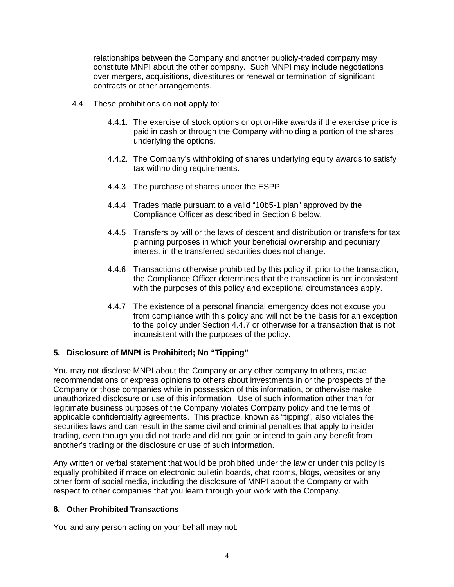relationships between the Company and another publicly-traded company may constitute MNPI about the other company. Such MNPI may include negotiations over mergers, acquisitions, divestitures or renewal or termination of significant contracts or other arrangements.

- 4.4. These prohibitions do **not** apply to:
	- 4.4.1. The exercise of stock options or option-like awards if the exercise price is paid in cash or through the Company withholding a portion of the shares underlying the options.
	- 4.4.2. The Company's withholding of shares underlying equity awards to satisfy tax withholding requirements.
	- 4.4.3 The purchase of shares under the ESPP.
	- 4.4.4 Trades made pursuant to a valid "10b5-1 plan" approved by the Compliance Officer as described in Section 8 below.
	- 4.4.5 Transfers by will or the laws of descent and distribution or transfers for tax planning purposes in which your beneficial ownership and pecuniary interest in the transferred securities does not change.
	- 4.4.6 Transactions otherwise prohibited by this policy if, prior to the transaction, the Compliance Officer determines that the transaction is not inconsistent with the purposes of this policy and exceptional circumstances apply.
	- 4.4.7 The existence of a personal financial emergency does not excuse you from compliance with this policy and will not be the basis for an exception to the policy under Section 4.4.7 or otherwise for a transaction that is not inconsistent with the purposes of the policy.

## **5. Disclosure of MNPI is Prohibited; No "Tipping"**

You may not disclose MNPI about the Company or any other company to others, make recommendations or express opinions to others about investments in or the prospects of the Company or those companies while in possession of this information, or otherwise make unauthorized disclosure or use of this information. Use of such information other than for legitimate business purposes of the Company violates Company policy and the terms of applicable confidentiality agreements. This practice, known as "tipping", also violates the securities laws and can result in the same civil and criminal penalties that apply to insider trading, even though you did not trade and did not gain or intend to gain any benefit from another's trading or the disclosure or use of such information.

Any written or verbal statement that would be prohibited under the law or under this policy is equally prohibited if made on electronic bulletin boards, chat rooms, blogs, websites or any other form of social media, including the disclosure of MNPI about the Company or with respect to other companies that you learn through your work with the Company.

## **6. Other Prohibited Transactions**

You and any person acting on your behalf may not: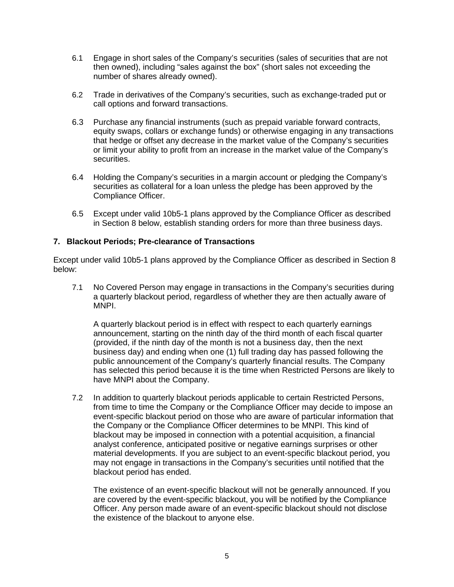- 6.1 Engage in short sales of the Company's securities (sales of securities that are not then owned), including "sales against the box" (short sales not exceeding the number of shares already owned).
- 6.2 Trade in derivatives of the Company's securities, such as exchange-traded put or call options and forward transactions.
- 6.3 Purchase any financial instruments (such as prepaid variable forward contracts, equity swaps, collars or exchange funds) or otherwise engaging in any transactions that hedge or offset any decrease in the market value of the Company's securities or limit your ability to profit from an increase in the market value of the Company's securities.
- 6.4 Holding the Company's securities in a margin account or pledging the Company's securities as collateral for a loan unless the pledge has been approved by the Compliance Officer.
- 6.5 Except under valid 10b5-1 plans approved by the Compliance Officer as described in Section 8 below, establish standing orders for more than three business days.

## **7. Blackout Periods; Pre-clearance of Transactions**

Except under valid 10b5-1 plans approved by the Compliance Officer as described in Section 8 below:

7.1 No Covered Person may engage in transactions in the Company's securities during a quarterly blackout period, regardless of whether they are then actually aware of MNPI.

A quarterly blackout period is in effect with respect to each quarterly earnings announcement, starting on the ninth day of the third month of each fiscal quarter (provided, if the ninth day of the month is not a business day, then the next business day) and ending when one (1) full trading day has passed following the public announcement of the Company's quarterly financial results. The Company has selected this period because it is the time when Restricted Persons are likely to have MNPI about the Company.

7.2 In addition to quarterly blackout periods applicable to certain Restricted Persons, from time to time the Company or the Compliance Officer may decide to impose an event-specific blackout period on those who are aware of particular information that the Company or the Compliance Officer determines to be MNPI. This kind of blackout may be imposed in connection with a potential acquisition, a financial analyst conference, anticipated positive or negative earnings surprises or other material developments. If you are subject to an event-specific blackout period, you may not engage in transactions in the Company's securities until notified that the blackout period has ended.

The existence of an event-specific blackout will not be generally announced. If you are covered by the event-specific blackout, you will be notified by the Compliance Officer. Any person made aware of an event-specific blackout should not disclose the existence of the blackout to anyone else.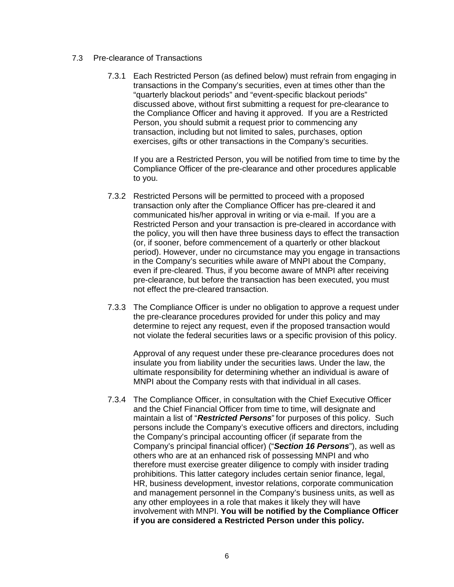#### 7.3 Pre-clearance of Transactions

 7.3.1 Each Restricted Person (as defined below) must refrain from engaging in transactions in the Company's securities, even at times other than the "quarterly blackout periods" and "event-specific blackout periods" discussed above, without first submitting a request for pre-clearance to the Compliance Officer and having it approved. If you are a Restricted Person, you should submit a request prior to commencing any transaction, including but not limited to sales, purchases, option exercises, gifts or other transactions in the Company's securities.

If you are a Restricted Person, you will be notified from time to time by the Compliance Officer of the pre-clearance and other procedures applicable to you.

- 7.3.2 Restricted Persons will be permitted to proceed with a proposed transaction only after the Compliance Officer has pre-cleared it and communicated his/her approval in writing or via e-mail. If you are a Restricted Person and your transaction is pre-cleared in accordance with the policy, you will then have three business days to effect the transaction (or, if sooner, before commencement of a quarterly or other blackout period). However, under no circumstance may you engage in transactions in the Company's securities while aware of MNPI about the Company, even if pre-cleared. Thus, if you become aware of MNPI after receiving pre-clearance, but before the transaction has been executed, you must not effect the pre-cleared transaction.
- 7.3.3 The Compliance Officer is under no obligation to approve a request under the pre-clearance procedures provided for under this policy and may determine to reject any request, even if the proposed transaction would not violate the federal securities laws or a specific provision of this policy.

Approval of any request under these pre-clearance procedures does not insulate you from liability under the securities laws. Under the law, the ultimate responsibility for determining whether an individual is aware of MNPI about the Company rests with that individual in all cases.

 7.3.4 The Compliance Officer, in consultation with the Chief Executive Officer and the Chief Financial Officer from time to time, will designate and maintain a list of "*Restricted Persons*" for purposes of this policy. Such persons include the Company's executive officers and directors, including the Company's principal accounting officer (if separate from the Company's principal financial officer) ("*Section 16 Persons*"), as well as others who are at an enhanced risk of possessing MNPI and who therefore must exercise greater diligence to comply with insider trading prohibitions. This latter category includes certain senior finance, legal, HR, business development, investor relations, corporate communication and management personnel in the Company's business units, as well as any other employees in a role that makes it likely they will have involvement with MNPI. **You will be notified by the Compliance Officer if you are considered a Restricted Person under this policy.**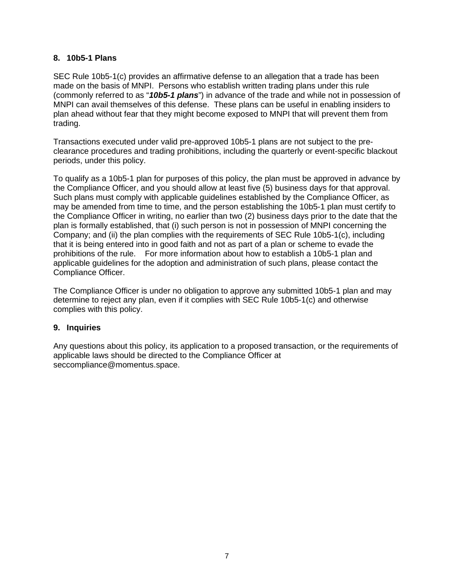# **8. 10b5-1 Plans**

SEC Rule 10b5-1(c) provides an affirmative defense to an allegation that a trade has been made on the basis of MNPI. Persons who establish written trading plans under this rule (commonly referred to as "*10b5-1 plans*") in advance of the trade and while not in possession of MNPI can avail themselves of this defense. These plans can be useful in enabling insiders to plan ahead without fear that they might become exposed to MNPI that will prevent them from trading.

Transactions executed under valid pre-approved 10b5-1 plans are not subject to the preclearance procedures and trading prohibitions, including the quarterly or event-specific blackout periods, under this policy.

To qualify as a 10b5-1 plan for purposes of this policy, the plan must be approved in advance by the Compliance Officer, and you should allow at least five (5) business days for that approval. Such plans must comply with applicable guidelines established by the Compliance Officer, as may be amended from time to time, and the person establishing the 10b5-1 plan must certify to the Compliance Officer in writing, no earlier than two (2) business days prior to the date that the plan is formally established, that (i) such person is not in possession of MNPI concerning the Company; and (ii) the plan complies with the requirements of SEC Rule 10b5-1(c), including that it is being entered into in good faith and not as part of a plan or scheme to evade the prohibitions of the rule. For more information about how to establish a 10b5-1 plan and applicable guidelines for the adoption and administration of such plans, please contact the Compliance Officer.

The Compliance Officer is under no obligation to approve any submitted 10b5-1 plan and may determine to reject any plan, even if it complies with SEC Rule 10b5-1(c) and otherwise complies with this policy.

## **9. Inquiries**

Any questions about this policy, its application to a proposed transaction, or the requirements of applicable laws should be directed to the Compliance Officer at seccompliance@momentus.space.